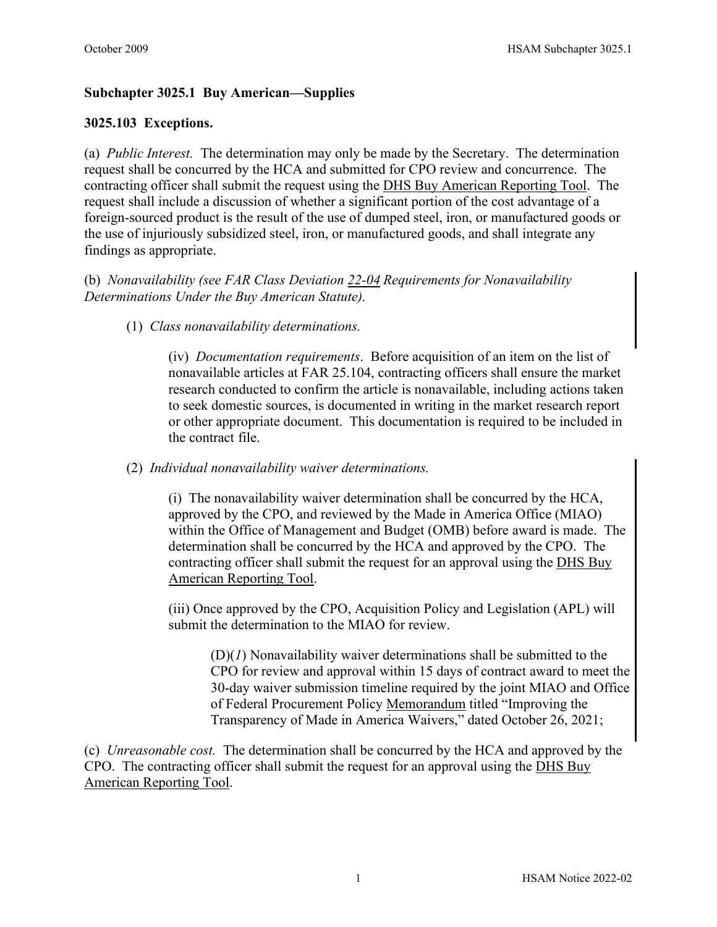# **Subchapter 3025.1 Buy American—Supplies**

## **3025.103 Exceptions.**

(a) *Public Interest.* The determination may only be made by the Secretary. The determination request shall be concurred by the HCA and submitted for CPO review and concurrence. The contracting officer shall submit the request using the [DHS Buy American Reporting Tool.](http://ocpo-sp.dhs.gov/sites/era/BART/Buy%20American%20Act.aspx) The request shall include a discussion of whether a significant portion of the cost advantage of a foreign-sourced product is the result of the use of dumped steel, iron, or manufactured goods or the use of injuriously subsidized steel, iron, or manufactured goods, and shall integrate any findings as appropriate.

(b) *Nonavailability (see FAR Class Deviation [22-04](https://www.dhs.gov/publication/current-far-deviations) Requirements for Nonavailability Determinations Under the Buy American Statute).*

(1) *Class nonavailability determinations.* 

(iv) *Documentation requirements*. Before acquisition of an item on the list of nonavailable articles at FAR 25.104, contracting officers shall ensure the market research conducted to confirm the article is nonavailable, including actions taken to seek domestic sources, is documented in writing in the market research report or other appropriate document. This documentation is required to be included in the contract file.

#### (2) *Individual nonavailability waiver determinations.*

(i) The nonavailability waiver determination shall be concurred by the HCA, approved by the CPO, and reviewed by the Made in America Office (MIAO) within the Office of Management and Budget (OMB) before award is made. The determination shall be concurred by the HCA and approved by the CPO. The contracting officer shall submit the request for an approval using the [DHS Buy](http://ocpo-sp.dhs.gov/sites/era/BART/Buy%20American%20Act.aspx)  [American Reporting Tool.](http://ocpo-sp.dhs.gov/sites/era/BART/Buy%20American%20Act.aspx)

(iii) Once approved by the CPO, Acquisition Policy and Legislation (APL) will submit the determination to the MIAO for review.

(D)(*1*) Nonavailability waiver determinations shall be submitted to the CPO for review and approval within 15 days of contract award to meet the 30-day waiver submission timeline required by the joint MIAO and Office of Federal Procurement Policy [Memorandum](https://www.whitehouse.gov/wp-content/uploads/2021/10/Guidance-Memo-Improving-the-Transparency-of-Made-in-America-Waivers.pdf) titled "Improving the Transparency of Made in America Waivers," dated October 26, 2021;

(c) *Unreasonable cost.* The determination shall be concurred by the HCA and approved by the CPO. The contracting officer shall submit the request for an approval using the [DHS Buy](http://ocpo-sp.dhs.gov/sites/era/BART/Buy%20American%20Act.aspx)  [American Reporting Tool.](http://ocpo-sp.dhs.gov/sites/era/BART/Buy%20American%20Act.aspx)